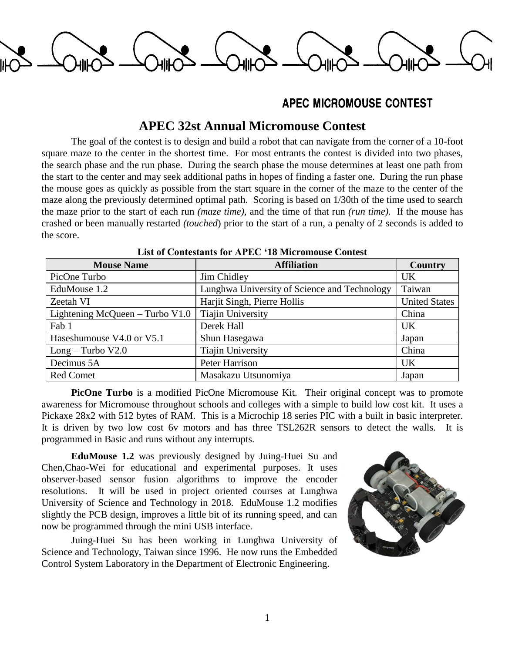

## APEC MICROMOUSE CONTEST

## **APEC 32st Annual Micromouse Contest**

The goal of the contest is to design and build a robot that can navigate from the corner of a 10-foot square maze to the center in the shortest time. For most entrants the contest is divided into two phases, the search phase and the run phase. During the search phase the mouse determines at least one path from the start to the center and may seek additional paths in hopes of finding a faster one. During the run phase the mouse goes as quickly as possible from the start square in the corner of the maze to the center of the maze along the previously determined optimal path. Scoring is based on 1/30th of the time used to search the maze prior to the start of each run *(maze time),* and the time of that run *(run time).* If the mouse has crashed or been manually restarted *(touched*) prior to the start of a run, a penalty of 2 seconds is added to the score.

| <b>Mouse Name</b>                 | <b>Affiliation</b>                           | <b>Country</b>       |
|-----------------------------------|----------------------------------------------|----------------------|
| PicOne Turbo                      | Jim Chidley                                  | <b>UK</b>            |
| EduMouse 1.2                      | Lunghwa University of Science and Technology | Taiwan               |
| Zeetah VI                         | Harjit Singh, Pierre Hollis                  | <b>United States</b> |
| Lightening McQueen $-$ Turbo V1.0 | <b>Tiajin University</b>                     | China                |
| Fab 1                             | Derek Hall                                   | <b>UK</b>            |
| Haseshumouse V4.0 or V5.1         | Shun Hasegawa                                | Japan                |
| $Long-Turbo V2.0$                 | <b>Tiajin University</b>                     | China                |
| Decimus 5A                        | Peter Harrison                               | <b>UK</b>            |
| <b>Red Comet</b>                  | Masakazu Utsunomiya                          | Japan                |

## **List of Contestants for APEC '18 Micromouse Contest**

**PicOne Turbo** is a modified PicOne Micromouse Kit. Their original concept was to promote awareness for Micromouse throughout schools and colleges with a simple to build low cost kit. It uses a Pickaxe 28x2 with 512 bytes of RAM. This is a Microchip 18 series PIC with a built in basic interpreter. It is driven by two low cost 6v motors and has three TSL262R sensors to detect the walls. It is programmed in Basic and runs without any interrupts.

**EduMouse 1.2** was previously designed by Juing-Huei Su and Chen,Chao-Wei for educational and experimental purposes. It uses observer-based sensor fusion algorithms to improve the encoder resolutions. It will be used in project oriented courses at Lunghwa University of Science and Technology in 2018. EduMouse 1.2 modifies slightly the PCB design, improves a little bit of its running speed, and can now be programmed through the mini USB interface.

Juing-Huei Su has been working in Lunghwa University of Science and Technology, Taiwan since 1996. He now runs the Embedded Control System Laboratory in the Department of Electronic Engineering.

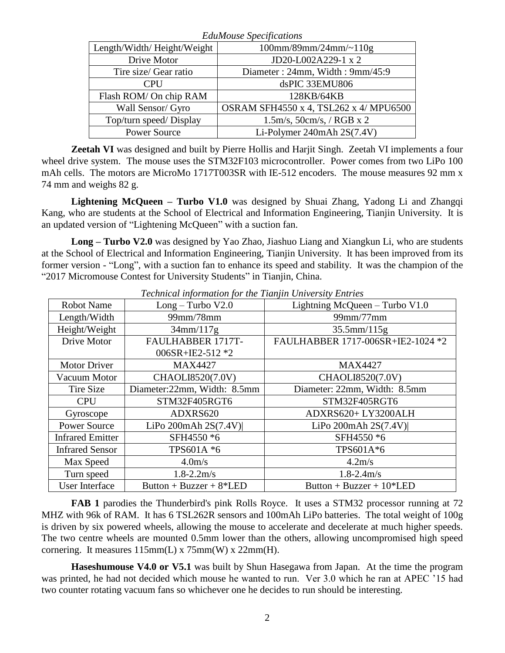| <b>EduMouse Specifications</b> |                                        |  |
|--------------------------------|----------------------------------------|--|
| Length/Width/Height/Weight     | $100$ mm/89mm/24mm/~ $110g$            |  |
| Drive Motor                    | JD20-L002A229-1 x 2                    |  |
| Tire size/ Gear ratio          | Diameter: 24mm, Width: 9mm/45:9        |  |
| <b>CPU</b>                     | dsPIC 33EMU806                         |  |
| Flash ROM/ On chip RAM         | 128KB/64KB                             |  |
| Wall Sensor/ Gyro              | OSRAM SFH4550 x 4, TSL262 x 4/ MPU6500 |  |
| Top/turn speed/ Display        | $1.5m/s$ , $50cm/s$ , / RGB x 2        |  |
| <b>Power Source</b>            | Li-Polymer 240mAh $2S(7.4V)$           |  |

**Zeetah VI** was designed and built by Pierre Hollis and Harjit Singh. Zeetah VI implements a four wheel drive system. The mouse uses the STM32F103 microcontroller. Power comes from two LiPo 100 mAh cells. The motors are MicroMo 1717T003SR with IE-512 encoders. The mouse measures 92 mm x 74 mm and weighs 82 g.

**Lightening McQueen – Turbo V1.0** was designed by Shuai Zhang, Yadong Li and Zhangqi Kang, who are students at the School of Electrical and Information Engineering, Tianjin University. It is an updated version of "Lightening McQueen" with a suction fan.

**Long – Turbo V2.0** was designed by Yao Zhao, Jiashuo Liang and Xiangkun Li, who are students at the School of Electrical and Information Engineering, Tianjin University. It has been improved from its former version - "Long", with a suction fan to enhance its speed and stability. It was the champion of the "2017 Micromouse Contest for University Students" in Tianjin, China.

| <b>Robot Name</b>       | $Long-Turbo V2.0$           | Lightning McQueen - Turbo V1.0    |
|-------------------------|-----------------------------|-----------------------------------|
| Length/Width            | 99mm/78mm                   | 99mm/77mm                         |
| Height/Weight           | 34mm/117g                   | $35.5$ mm/ $115g$                 |
| Drive Motor             | FAULHABBER 1717T-           | FAULHABBER 1717-006SR+IE2-1024 *2 |
|                         | 006SR+IE2-512 $*2$          |                                   |
| <b>Motor Driver</b>     | <b>MAX4427</b>              | <b>MAX4427</b>                    |
| Vacuum Motor            | CHAOLI8520(7.0V)            | CHAOLI8520(7.0V)                  |
| Tire Size               | Diameter:22mm, Width: 8.5mm | Diameter: 22mm, Width: 8.5mm      |
| <b>CPU</b>              | STM32F405RGT6               | STM32F405RGT6                     |
| Gyroscope               | ADXRS620                    | ADXRS620+LY3200ALH                |
| <b>Power Source</b>     | LiPo 200mAh $2S(7.4V)$      | LiPo 200mAh 2S(7.4V)              |
| <b>Infrared Emitter</b> | SFH4550 *6                  | SFH4550 *6                        |
| <b>Infrared Sensor</b>  | TPS601A *6                  | TPS601A*6                         |
| Max Speed               | 4.0 <sub>m/s</sub>          | 4.2m/s                            |
| Turn speed              | $1.8 - 2.2$ m/s             | $1.8 - 2.4$ m/s                   |
| <b>User Interface</b>   | Button + Buzzer + $8*LED$   | Button + Buzzer + $10*LED$        |

*Technical information for the Tianjin University Entries*

**FAB 1** parodies the Thunderbird's pink Rolls Royce. It uses a STM32 processor running at 72 MHZ with 96k of RAM. It has 6 TSL262R sensors and 100mAh LiPo batteries. The total weight of 100g is driven by six powered wheels, allowing the mouse to accelerate and decelerate at much higher speeds. The two centre wheels are mounted 0.5mm lower than the others, allowing uncompromised high speed cornering. It measures  $115mm(L)$  x  $75mm(W)$  x  $22mm(H)$ .

**Haseshumouse V4.0 or V5.1** was built by Shun Hasegawa from Japan. At the time the program was printed, he had not decided which mouse he wanted to run. Ver 3.0 which he ran at APEC '15 had two counter rotating vacuum fans so whichever one he decides to run should be interesting.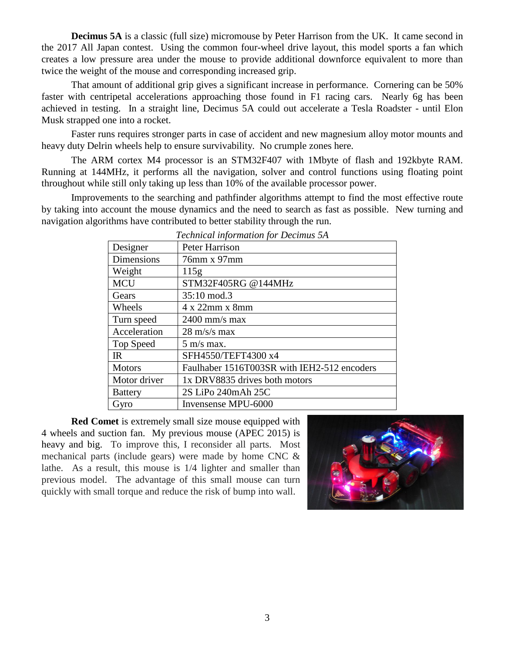**Decimus 5A** is a classic (full size) micromouse by Peter Harrison from the UK. It came second in the 2017 All Japan contest. Using the common four-wheel drive layout, this model sports a fan which creates a low pressure area under the mouse to provide additional downforce equivalent to more than twice the weight of the mouse and corresponding increased grip.

That amount of additional grip gives a significant increase in performance. Cornering can be 50% faster with centripetal accelerations approaching those found in F1 racing cars. Nearly 6g has been achieved in testing. In a straight line, Decimus 5A could out accelerate a Tesla Roadster - until Elon Musk strapped one into a rocket.

Faster runs requires stronger parts in case of accident and new magnesium alloy motor mounts and heavy duty Delrin wheels help to ensure survivability. No crumple zones here.

The ARM cortex M4 processor is an STM32F407 with 1Mbyte of flash and 192kbyte RAM. Running at 144MHz, it performs all the navigation, solver and control functions using floating point throughout while still only taking up less than 10% of the available processor power.

Improvements to the searching and pathfinder algorithms attempt to find the most effective route by taking into account the mouse dynamics and the need to search as fast as possible. New turning and navigation algorithms have contributed to better stability through the run.

| Designer          | <b>Peter Harrison</b>                       |
|-------------------|---------------------------------------------|
| <b>Dimensions</b> | 76mm x 97mm                                 |
| Weight            | 115g                                        |
| <b>MCU</b>        | STM32F405RG @144MHz                         |
| Gears             | 35:10 mod.3                                 |
| Wheels            | 4 x 22mm x 8mm                              |
| Turn speed        | $2400$ mm/s max                             |
| Acceleration      | $28 \text{ m/s/s}$ max                      |
| Top Speed         | $5 \text{ m/s}$ max.                        |
| IR                | SFH4550/TEFT4300 x4                         |
| <b>Motors</b>     | Faulhaber 1516T003SR with IEH2-512 encoders |
| Motor driver      | 1x DRV8835 drives both motors               |
| <b>Battery</b>    | 2S LiPo 240mAh 25C                          |
| Gyro              | Invensense MPU-6000                         |

*Technical information for Decimus 5A*

**Red Comet** is extremely small size mouse equipped with 4 wheels and suction fan. My previous mouse (APEC 2015) is heavy and big. To improve this, I reconsider all parts. Most mechanical parts (include gears) were made by home CNC & lathe. As a result, this mouse is 1/4 lighter and smaller than previous model. The advantage of this small mouse can turn quickly with small torque and reduce the risk of bump into wall.